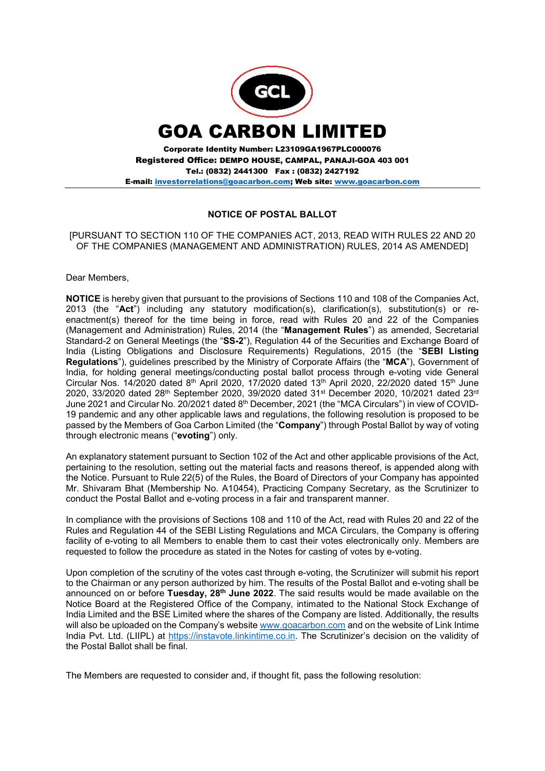

E-mail: investorrelations@goacarbon.com; Web site: www.goacarbon.com

# NOTICE OF POSTAL BALLOT

[PURSUANT TO SECTION 110 OF THE COMPANIES ACT, 2013, READ WITH RULES 22 AND 20 OF THE COMPANIES (MANAGEMENT AND ADMINISTRATION) RULES, 2014 AS AMENDED]

Dear Members,

NOTICE is hereby given that pursuant to the provisions of Sections 110 and 108 of the Companies Act, 2013 (the "Act") including any statutory modification(s), clarification(s), substitution(s) or reenactment(s) thereof for the time being in force, read with Rules 20 and 22 of the Companies (Management and Administration) Rules, 2014 (the "Management Rules") as amended, Secretarial Standard-2 on General Meetings (the "SS-2"), Regulation 44 of the Securities and Exchange Board of India (Listing Obligations and Disclosure Requirements) Regulations, 2015 (the "SEBI Listing Regulations"), guidelines prescribed by the Ministry of Corporate Affairs (the "MCA"), Government of India, for holding general meetings/conducting postal ballot process through e-voting vide General Circular Nos. 14/2020 dated 8<sup>th</sup> April 2020, 17/2020 dated 13<sup>th</sup> April 2020, 22/2020 dated 15<sup>th</sup> June 2020, 33/2020 dated 28<sup>th</sup> September 2020, 39/2020 dated 31<sup>st</sup> December 2020, 10/2021 dated 23<sup>rd</sup> June 2021 and Circular No. 20/2021 dated 8<sup>th</sup> December, 2021 (the "MCA Circulars") in view of COVID-19 pandemic and any other applicable laws and regulations, the following resolution is proposed to be passed by the Members of Goa Carbon Limited (the "Company") through Postal Ballot by way of voting through electronic means ("evoting") only.

An explanatory statement pursuant to Section 102 of the Act and other applicable provisions of the Act, pertaining to the resolution, setting out the material facts and reasons thereof, is appended along with the Notice. Pursuant to Rule 22(5) of the Rules, the Board of Directors of your Company has appointed Mr. Shivaram Bhat (Membership No. A10454), Practicing Company Secretary, as the Scrutinizer to conduct the Postal Ballot and e-voting process in a fair and transparent manner.

In compliance with the provisions of Sections 108 and 110 of the Act, read with Rules 20 and 22 of the Rules and Regulation 44 of the SEBI Listing Regulations and MCA Circulars, the Company is offering facility of e-voting to all Members to enable them to cast their votes electronically only. Members are requested to follow the procedure as stated in the Notes for casting of votes by e-voting.

Upon completion of the scrutiny of the votes cast through e-voting, the Scrutinizer will submit his report to the Chairman or any person authorized by him. The results of the Postal Ballot and e-voting shall be announced on or before Tuesday,  $28<sup>th</sup>$  June 2022. The said results would be made available on the Notice Board at the Registered Office of the Company, intimated to the National Stock Exchange of India Limited and the BSE Limited where the shares of the Company are listed. Additionally, the results will also be uploaded on the Company's website www.goacarbon.com and on the website of Link Intime India Pvt. Ltd. (LIIPL) at https://instavote.linkintime.co.in. The Scrutinizer's decision on the validity of the Postal Ballot shall be final.

The Members are requested to consider and, if thought fit, pass the following resolution: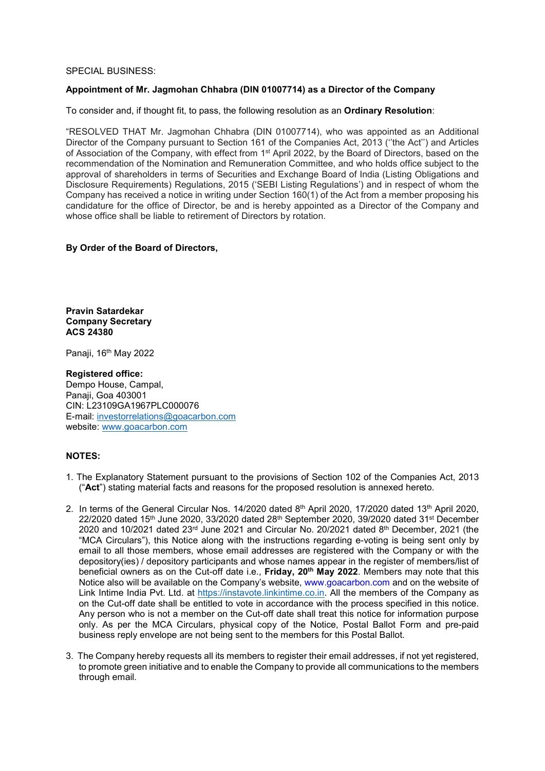# SPECIAL BUSINESS:

# Appointment of Mr. Jagmohan Chhabra (DIN 01007714) as a Director of the Company

To consider and, if thought fit, to pass, the following resolution as an Ordinary Resolution:

"RESOLVED THAT Mr. Jagmohan Chhabra (DIN 01007714), who was appointed as an Additional Director of the Company pursuant to Section 161 of the Companies Act, 2013 (''the Act'') and Articles of Association of the Company, with effect from 1st April 2022, by the Board of Directors, based on the recommendation of the Nomination and Remuneration Committee, and who holds office subject to the approval of shareholders in terms of Securities and Exchange Board of India (Listing Obligations and Disclosure Requirements) Regulations, 2015 ('SEBI Listing Regulations') and in respect of whom the Company has received a notice in writing under Section 160(1) of the Act from a member proposing his candidature for the office of Director, be and is hereby appointed as a Director of the Company and whose office shall be liable to retirement of Directors by rotation.

# By Order of the Board of Directors,

Pravin Satardekar Company Secretary ACS 24380

Panaji, 16<sup>th</sup> May 2022

# Registered office:

Dempo House, Campal, Panaji, Goa 403001 CIN: L23109GA1967PLC000076 E-mail: investorrelations@goacarbon.com website: www.goacarbon.com

### NOTES:

- 1. The Explanatory Statement pursuant to the provisions of Section 102 of the Companies Act, 2013 ("Act") stating material facts and reasons for the proposed resolution is annexed hereto.
- 2. In terms of the General Circular Nos. 14/2020 dated 8<sup>th</sup> April 2020, 17/2020 dated 13<sup>th</sup> April 2020,  $22/2020$  dated  $15$ <sup>th</sup> June 2020, 33/2020 dated  $28$ <sup>th</sup> September 2020, 39/2020 dated 31<sup>st</sup> December 2020 and 10/2021 dated  $23<sup>rd</sup>$  June 2021 and Circular No. 20/2021 dated  $8<sup>th</sup>$  December, 2021 (the "MCA Circulars"), this Notice along with the instructions regarding e-voting is being sent only by email to all those members, whose email addresses are registered with the Company or with the depository(ies) / depository participants and whose names appear in the register of members/list of beneficial owners as on the Cut-off date i.e., Friday, 20<sup>th</sup> May 2022. Members may note that this Notice also will be available on the Company's website, www.goacarbon.com and on the website of Link Intime India Pvt. Ltd. at https://instavote.linkintime.co.in. All the members of the Company as on the Cut-off date shall be entitled to vote in accordance with the process specified in this notice. Any person who is not a member on the Cut-off date shall treat this notice for information purpose only. As per the MCA Circulars, physical copy of the Notice, Postal Ballot Form and pre-paid business reply envelope are not being sent to the members for this Postal Ballot.
- 3. The Company hereby requests all its members to register their email addresses, if not yet registered, to promote green initiative and to enable the Company to provide all communications to the members through email.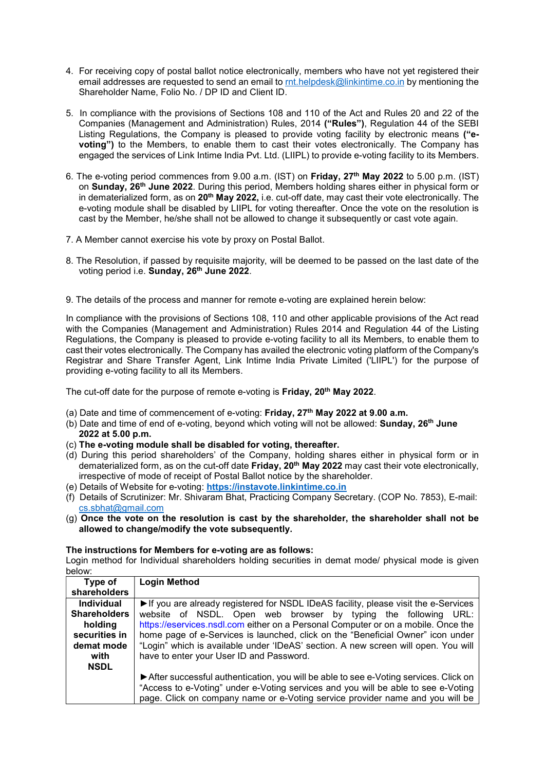- 4. For receiving copy of postal ballot notice electronically, members who have not yet registered their email addresses are requested to send an email to rnt.helpdesk@linkintime.co.in by mentioning the Shareholder Name, Folio No. / DP ID and Client ID.
- 5. In compliance with the provisions of Sections 108 and 110 of the Act and Rules 20 and 22 of the Companies (Management and Administration) Rules, 2014 ("Rules"), Regulation 44 of the SEBI Listing Regulations, the Company is pleased to provide voting facility by electronic means ("evoting") to the Members, to enable them to cast their votes electronically. The Company has engaged the services of Link Intime India Pvt. Ltd. (LIIPL) to provide e-voting facility to its Members.
- 6. The e-voting period commences from 9.00 a.m. (IST) on Friday, 27th May 2022 to 5.00 p.m. (IST) on Sunday, 26th June 2022. During this period, Members holding shares either in physical form or in dematerialized form, as on 20<sup>th</sup> May 2022, i.e. cut-off date, may cast their vote electronically. The e-voting module shall be disabled by LIIPL for voting thereafter. Once the vote on the resolution is cast by the Member, he/she shall not be allowed to change it subsequently or cast vote again.
- 7. A Member cannot exercise his vote by proxy on Postal Ballot.
- 8. The Resolution, if passed by requisite majority, will be deemed to be passed on the last date of the voting period i.e. Sunday, 26<sup>th</sup> June 2022.
- 9. The details of the process and manner for remote e-voting are explained herein below:

In compliance with the provisions of Sections 108, 110 and other applicable provisions of the Act read with the Companies (Management and Administration) Rules 2014 and Regulation 44 of the Listing Regulations, the Company is pleased to provide e-voting facility to all its Members, to enable them to cast their votes electronically. The Company has availed the electronic voting platform of the Company's Registrar and Share Transfer Agent, Link Intime India Private Limited ('LIIPL') for the purpose of providing e-voting facility to all its Members.

The cut-off date for the purpose of remote e-voting is Friday, 20<sup>th</sup> May 2022.

- (a) Date and time of commencement of e-voting: Friday,  $27<sup>th</sup>$  May 2022 at 9.00 a.m.
- (b) Date and time of end of e-voting, beyond which voting will not be allowed: **Sunday, 26<sup>th</sup> June** 2022 at 5.00 p.m.
- (c) The e-voting module shall be disabled for voting, thereafter.
- (d) During this period shareholders' of the Company, holding shares either in physical form or in dematerialized form, as on the cut-off date Friday, 20<sup>th</sup> May 2022 may cast their vote electronically, irrespective of mode of receipt of Postal Ballot notice by the shareholder.
- (e) Details of Website for e-voting: https://instavote.linkintime.co.in
- (f) Details of Scrutinizer: Mr. Shivaram Bhat, Practicing Company Secretary. (COP No. 7853), E-mail: cs.sbhat@gmail.com
- (g) Once the vote on the resolution is cast by the shareholder, the shareholder shall not be allowed to change/modify the vote subsequently.

#### The instructions for Members for e-voting are as follows:

Login method for Individual shareholders holding securities in demat mode/ physical mode is given below:

| Type of             | <b>Login Method</b>                                                                  |
|---------------------|--------------------------------------------------------------------------------------|
| shareholders        |                                                                                      |
| <b>Individual</b>   | If you are already registered for NSDL IDeAS facility, please visit the e-Services   |
| <b>Shareholders</b> | website of NSDL. Open web browser by typing the following URL:                       |
| holding             | https://eservices.nsdl.com either on a Personal Computer or on a mobile. Once the    |
| securities in       | home page of e-Services is launched, click on the "Beneficial Owner" icon under      |
| demat mode          | "Login" which is available under 'IDeAS' section. A new screen will open. You will   |
| with                | have to enter your User ID and Password.                                             |
| <b>NSDL</b>         |                                                                                      |
|                     | After successful authentication, you will be able to see e-Voting services. Click on |
|                     | "Access to e-Voting" under e-Voting services and you will be able to see e-Voting    |
|                     | page. Click on company name or e-Voting service provider name and you will be        |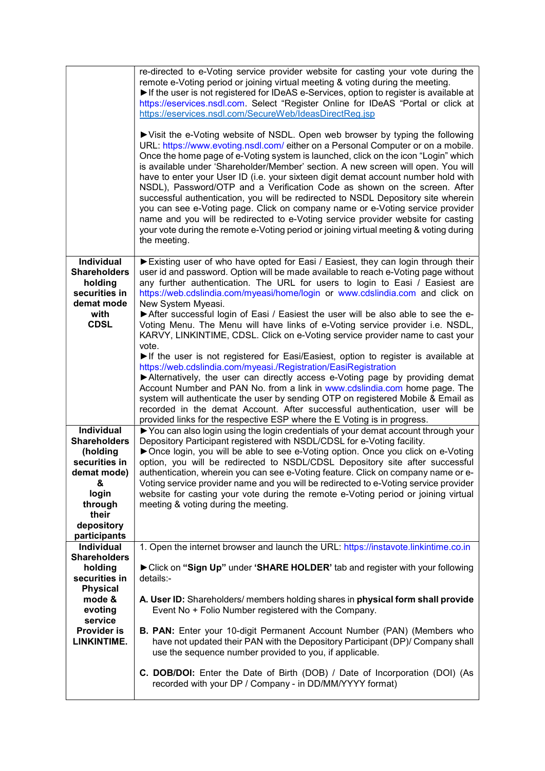|                                                                                                                                               | re-directed to e-Voting service provider website for casting your vote during the<br>remote e-Voting period or joining virtual meeting & voting during the meeting.<br>If the user is not registered for IDeAS e-Services, option to register is available at<br>https://eservices.nsdl.com. Select "Register Online for IDeAS "Portal or click at<br>https://eservices.nsdl.com/SecureWeb/IdeasDirectReg.jsp<br>▶ Visit the e-Voting website of NSDL. Open web browser by typing the following<br>URL: https://www.evoting.nsdl.com/ either on a Personal Computer or on a mobile.<br>Once the home page of e-Voting system is launched, click on the icon "Login" which<br>is available under 'Shareholder/Member' section. A new screen will open. You will<br>have to enter your User ID (i.e. your sixteen digit demat account number hold with<br>NSDL), Password/OTP and a Verification Code as shown on the screen. After<br>successful authentication, you will be redirected to NSDL Depository site wherein<br>you can see e-Voting page. Click on company name or e-Voting service provider<br>name and you will be redirected to e-Voting service provider website for casting<br>your vote during the remote e-Voting period or joining virtual meeting & voting during<br>the meeting. |
|-----------------------------------------------------------------------------------------------------------------------------------------------|-------------------------------------------------------------------------------------------------------------------------------------------------------------------------------------------------------------------------------------------------------------------------------------------------------------------------------------------------------------------------------------------------------------------------------------------------------------------------------------------------------------------------------------------------------------------------------------------------------------------------------------------------------------------------------------------------------------------------------------------------------------------------------------------------------------------------------------------------------------------------------------------------------------------------------------------------------------------------------------------------------------------------------------------------------------------------------------------------------------------------------------------------------------------------------------------------------------------------------------------------------------------------------------------------------|
| <b>Individual</b><br><b>Shareholders</b><br>holding<br>securities in<br>demat mode<br>with<br><b>CDSL</b>                                     | Existing user of who have opted for Easi / Easiest, they can login through their<br>user id and password. Option will be made available to reach e-Voting page without<br>any further authentication. The URL for users to login to Easi / Easiest are<br>https://web.cdslindia.com/myeasi/home/login or www.cdslindia.com and click on<br>New System Myeasi.<br>After successful login of Easi / Easiest the user will be also able to see the e-<br>Voting Menu. The Menu will have links of e-Voting service provider i.e. NSDL,                                                                                                                                                                                                                                                                                                                                                                                                                                                                                                                                                                                                                                                                                                                                                                   |
|                                                                                                                                               | KARVY, LINKINTIME, CDSL. Click on e-Voting service provider name to cast your<br>vote.<br>If the user is not registered for Easi/Easiest, option to register is available at<br>https://web.cdslindia.com/myeasi./Registration/EasiRegistration<br>Alternatively, the user can directly access e-Voting page by providing demat<br>Account Number and PAN No. from a link in www.cdslindia.com home page. The<br>system will authenticate the user by sending OTP on registered Mobile & Email as<br>recorded in the demat Account. After successful authentication, user will be<br>provided links for the respective ESP where the E Voting is in progress.                                                                                                                                                                                                                                                                                                                                                                                                                                                                                                                                                                                                                                         |
| Individual<br><b>Shareholders</b><br>(holding<br>securities in<br>demat mode)<br>&<br>login<br>through<br>their<br>depository<br>participants | ▶ You can also login using the login credentials of your demat account through your<br>Depository Participant registered with NSDL/CDSL for e-Voting facility.<br>▶ Once login, you will be able to see e-Voting option. Once you click on e-Voting<br>option, you will be redirected to NSDL/CDSL Depository site after successful<br>authentication, wherein you can see e-Voting feature. Click on company name or e-<br>Voting service provider name and you will be redirected to e-Voting service provider<br>website for casting your vote during the remote e-Voting period or joining virtual<br>meeting & voting during the meeting.                                                                                                                                                                                                                                                                                                                                                                                                                                                                                                                                                                                                                                                        |
| Individual<br><b>Shareholders</b><br>holding<br>securities in<br><b>Physical</b>                                                              | 1. Open the internet browser and launch the URL: https://instavote.linkintime.co.in<br>► Click on "Sign Up" under 'SHARE HOLDER' tab and register with your following<br>details:-                                                                                                                                                                                                                                                                                                                                                                                                                                                                                                                                                                                                                                                                                                                                                                                                                                                                                                                                                                                                                                                                                                                    |
| mode &<br>evoting<br>service<br>Provider is<br>LINKINTIME.                                                                                    | A. User ID: Shareholders/ members holding shares in physical form shall provide<br>Event No + Folio Number registered with the Company.<br><b>B. PAN:</b> Enter your 10-digit Permanent Account Number (PAN) (Members who<br>have not updated their PAN with the Depository Participant (DP)/ Company shall                                                                                                                                                                                                                                                                                                                                                                                                                                                                                                                                                                                                                                                                                                                                                                                                                                                                                                                                                                                           |
|                                                                                                                                               | use the sequence number provided to you, if applicable.<br><b>C. DOB/DOI:</b> Enter the Date of Birth (DOB) / Date of Incorporation (DOI) (As<br>recorded with your DP / Company - in DD/MM/YYYY format)                                                                                                                                                                                                                                                                                                                                                                                                                                                                                                                                                                                                                                                                                                                                                                                                                                                                                                                                                                                                                                                                                              |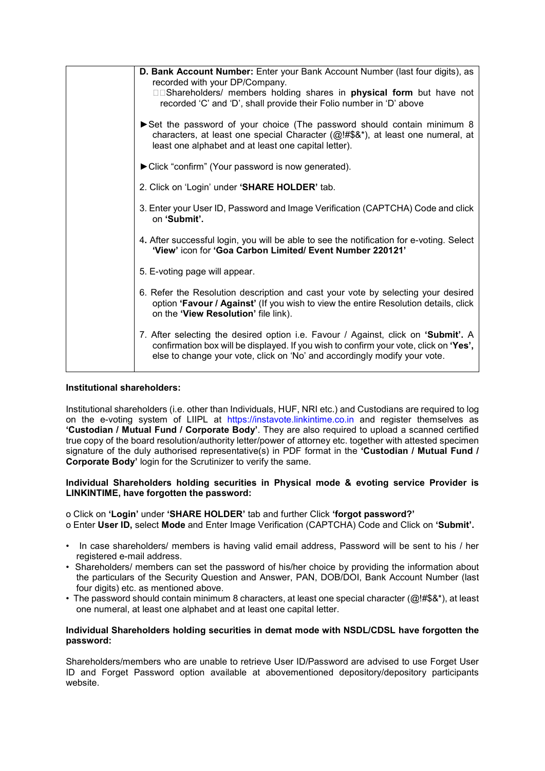| D. Bank Account Number: Enter your Bank Account Number (last four digits), as<br>recorded with your DP/Company.<br>□□Shareholders/ members holding shares in physical form but have not<br>recorded 'C' and 'D', shall provide their Folio number in 'D' above |
|----------------------------------------------------------------------------------------------------------------------------------------------------------------------------------------------------------------------------------------------------------------|
| Set the password of your choice (The password should contain minimum 8<br>characters, at least one special Character (@!#\$&*), at least one numeral, at<br>least one alphabet and at least one capital letter).                                               |
| Click "confirm" (Your password is now generated).                                                                                                                                                                                                              |
| 2. Click on 'Login' under 'SHARE HOLDER' tab.                                                                                                                                                                                                                  |
| 3. Enter your User ID, Password and Image Verification (CAPTCHA) Code and click<br>on 'Submit'.                                                                                                                                                                |
| 4. After successful login, you will be able to see the notification for e-voting. Select<br>'View' icon for 'Goa Carbon Limited/ Event Number 220121'                                                                                                          |
| 5. E-voting page will appear.                                                                                                                                                                                                                                  |
| 6. Refer the Resolution description and cast your vote by selecting your desired<br>option 'Favour / Against' (If you wish to view the entire Resolution details, click<br>on the 'View Resolution' file link).                                                |
| 7. After selecting the desired option i.e. Favour / Against, click on 'Submit'. A<br>confirmation box will be displayed. If you wish to confirm your vote, click on 'Yes',<br>else to change your vote, click on 'No' and accordingly modify your vote.        |

# Institutional shareholders:

Institutional shareholders (i.e. other than Individuals, HUF, NRI etc.) and Custodians are required to log on the e-voting system of LIIPL at https://instavote.linkintime.co.in and register themselves as 'Custodian / Mutual Fund / Corporate Body'. They are also required to upload a scanned certified true copy of the board resolution/authority letter/power of attorney etc. together with attested specimen signature of the duly authorised representative(s) in PDF format in the 'Custodian / Mutual Fund / Corporate Body' login for the Scrutinizer to verify the same.

#### Individual Shareholders holding securities in Physical mode & evoting service Provider is LINKINTIME, have forgotten the password:

o Click on 'Login' under 'SHARE HOLDER' tab and further Click 'forgot password?' o Enter User ID, select Mode and Enter Image Verification (CAPTCHA) Code and Click on 'Submit'.

- In case shareholders/ members is having valid email address, Password will be sent to his / her registered e-mail address.
- Shareholders/ members can set the password of his/her choice by providing the information about the particulars of the Security Question and Answer, PAN, DOB/DOI, Bank Account Number (last four digits) etc. as mentioned above.
- The password should contain minimum 8 characters, at least one special character (@!#\$&\*), at least one numeral, at least one alphabet and at least one capital letter.

# Individual Shareholders holding securities in demat mode with NSDL/CDSL have forgotten the password:

Shareholders/members who are unable to retrieve User ID/Password are advised to use Forget User ID and Forget Password option available at abovementioned depository/depository participants website.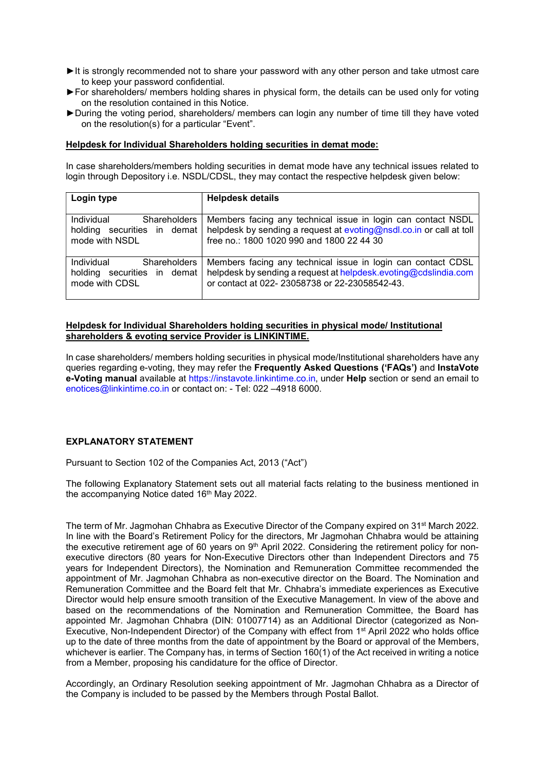- ►It is strongly recommended not to share your password with any other person and take utmost care to keep your password confidential.
- ►For shareholders/ members holding shares in physical form, the details can be used only for voting on the resolution contained in this Notice.
- ►During the voting period, shareholders/ members can login any number of time till they have voted on the resolution(s) for a particular "Event".

#### Helpdesk for Individual Shareholders holding securities in demat mode:

In case shareholders/members holding securities in demat mode have any technical issues related to login through Depository i.e. NSDL/CDSL, they may contact the respective helpdesk given below:

| Login type                        | <b>Helpdesk details</b>                                             |
|-----------------------------------|---------------------------------------------------------------------|
|                                   |                                                                     |
| Individual<br><b>Shareholders</b> | Members facing any technical issue in login can contact NSDL        |
| holding securities in demat       | helpdesk by sending a request at evoting@nsdl.co.in or call at toll |
| mode with NSDL                    | free no.: 1800 1020 990 and 1800 22 44 30                           |
|                                   |                                                                     |
| Individual<br><b>Shareholders</b> | Members facing any technical issue in login can contact CDSL        |
| holding securities in demat       | helpdesk by sending a request at helpdesk.evoting@cdslindia.com     |
| mode with CDSL                    | or contact at 022-23058738 or 22-23058542-43.                       |
|                                   |                                                                     |

# Helpdesk for Individual Shareholders holding securities in physical mode/ Institutional shareholders & evoting service Provider is LINKINTIME.

In case shareholders/ members holding securities in physical mode/Institutional shareholders have any queries regarding e-voting, they may refer the Frequently Asked Questions ('FAQs') and InstaVote e-Voting manual available at https://instavote.linkintime.co.in, under Help section or send an email to enotices@linkintime.co.in or contact on: - Tel: 022 –4918 6000.

# EXPLANATORY STATEMENT

Pursuant to Section 102 of the Companies Act, 2013 ("Act")

The following Explanatory Statement sets out all material facts relating to the business mentioned in the accompanying Notice dated 16<sup>th</sup> May 2022.

The term of Mr. Jagmohan Chhabra as Executive Director of the Company expired on 31st March 2022. In line with the Board's Retirement Policy for the directors, Mr Jagmohan Chhabra would be attaining the executive retirement age of 60 years on  $9<sup>th</sup>$  April 2022. Considering the retirement policy for nonexecutive directors (80 years for Non-Executive Directors other than Independent Directors and 75 years for Independent Directors), the Nomination and Remuneration Committee recommended the appointment of Mr. Jagmohan Chhabra as non-executive director on the Board. The Nomination and Remuneration Committee and the Board felt that Mr. Chhabra's immediate experiences as Executive Director would help ensure smooth transition of the Executive Management. In view of the above and based on the recommendations of the Nomination and Remuneration Committee, the Board has appointed Mr. Jagmohan Chhabra (DIN: 01007714) as an Additional Director (categorized as Non-Executive, Non-Independent Director) of the Company with effect from 1st April 2022 who holds office up to the date of three months from the date of appointment by the Board or approval of the Members, whichever is earlier. The Company has, in terms of Section 160(1) of the Act received in writing a notice from a Member, proposing his candidature for the office of Director.

Accordingly, an Ordinary Resolution seeking appointment of Mr. Jagmohan Chhabra as a Director of the Company is included to be passed by the Members through Postal Ballot.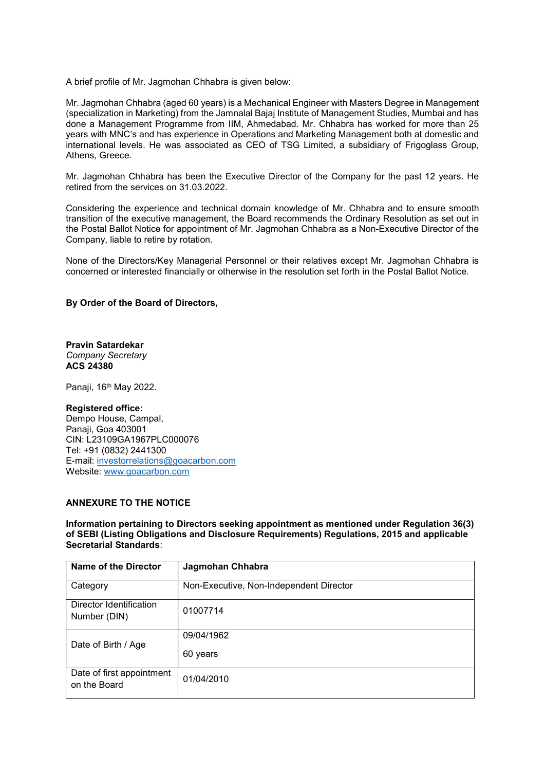A brief profile of Mr. Jagmohan Chhabra is given below:

Mr. Jagmohan Chhabra (aged 60 years) is a Mechanical Engineer with Masters Degree in Management (specialization in Marketing) from the Jamnalal Bajaj Institute of Management Studies, Mumbai and has done a Management Programme from IIM, Ahmedabad. Mr. Chhabra has worked for more than 25 years with MNC's and has experience in Operations and Marketing Management both at domestic and international levels. He was associated as CEO of TSG Limited, a subsidiary of Frigoglass Group, Athens, Greece.

Mr. Jagmohan Chhabra has been the Executive Director of the Company for the past 12 years. He retired from the services on 31.03.2022.

Considering the experience and technical domain knowledge of Mr. Chhabra and to ensure smooth transition of the executive management, the Board recommends the Ordinary Resolution as set out in the Postal Ballot Notice for appointment of Mr. Jagmohan Chhabra as a Non-Executive Director of the Company, liable to retire by rotation.

None of the Directors/Key Managerial Personnel or their relatives except Mr. Jagmohan Chhabra is concerned or interested financially or otherwise in the resolution set forth in the Postal Ballot Notice.

# By Order of the Board of Directors,

Pravin Satardekar Company Secretary ACS 24380

Panaji, 16<sup>th</sup> May 2022.

#### Registered office:

Dempo House, Campal, Panaji, Goa 403001 CIN: L23109GA1967PLC000076 Tel: +91 (0832) 2441300 E-mail: investorrelations@goacarbon.com Website: www.goacarbon.com

### ANNEXURE TO THE NOTICE

Information pertaining to Directors seeking appointment as mentioned under Regulation 36(3) of SEBI (Listing Obligations and Disclosure Requirements) Regulations, 2015 and applicable Secretarial Standards:

| Name of the Director                      | Jagmohan Chhabra                        |
|-------------------------------------------|-----------------------------------------|
| Category                                  | Non-Executive, Non-Independent Director |
| Director Identification<br>Number (DIN)   | 01007714                                |
| Date of Birth / Age                       | 09/04/1962                              |
|                                           | 60 years                                |
| Date of first appointment<br>on the Board | 01/04/2010                              |